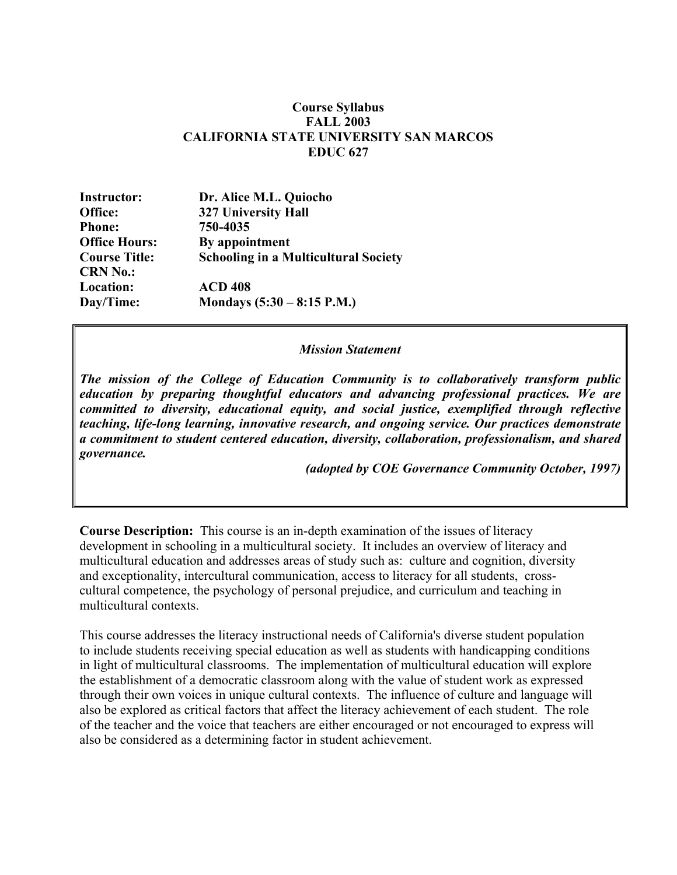### **Course Syllabus FALL 2003 CALIFORNIA STATE UNIVERSITY SAN MARCOS EDUC 627**

| Dr. Alice M.L. Quiocho                      |
|---------------------------------------------|
| <b>327 University Hall</b>                  |
| 750-4035                                    |
| By appointment                              |
| <b>Schooling in a Multicultural Society</b> |
|                                             |
| <b>ACD 408</b>                              |
| Mondays $(5:30 - 8:15 \text{ P.M.})$        |
|                                             |

#### *Mission Statement*

*The mission of the College of Education Community is to collaboratively transform public education by preparing thoughtful educators and advancing professional practices. We are committed to diversity, educational equity, and social justice, exemplified through reflective teaching, life-long learning, innovative research, and ongoing service. Our practices demonstrate a commitment to student centered education, diversity, collaboration, professionalism, and shared governance.* 

*(adopted by COE Governance Community October, 1997)*

**Course Description:** This course is an in-depth examination of the issues of literacy development in schooling in a multicultural society. It includes an overview of literacy and multicultural education and addresses areas of study such as: culture and cognition, diversity and exceptionality, intercultural communication, access to literacy for all students, crosscultural competence, the psychology of personal prejudice, and curriculum and teaching in multicultural contexts.

This course addresses the literacy instructional needs of California's diverse student population to include students receiving special education as well as students with handicapping conditions in light of multicultural classrooms. The implementation of multicultural education will explore the establishment of a democratic classroom along with the value of student work as expressed through their own voices in unique cultural contexts. The influence of culture and language will also be explored as critical factors that affect the literacy achievement of each student. The role of the teacher and the voice that teachers are either encouraged or not encouraged to express will also be considered as a determining factor in student achievement.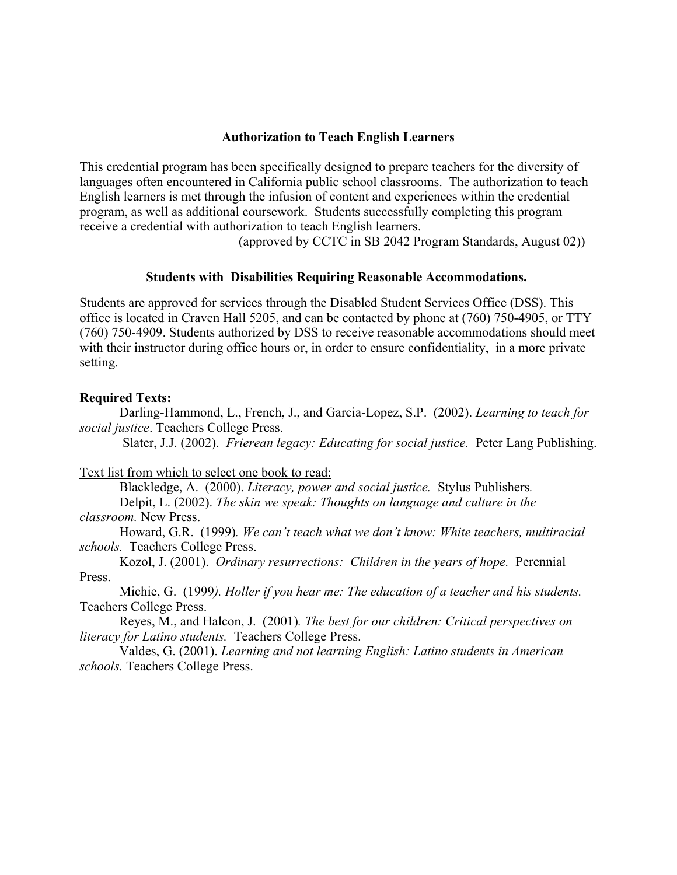#### **Authorization to Teach English Learners**

This credential program has been specifically designed to prepare teachers for the diversity of languages often encountered in California public school classrooms. The authorization to teach English learners is met through the infusion of content and experiences within the credential program, as well as additional coursework. Students successfully completing this program receive a credential with authorization to teach English learners.

(approved by CCTC in SB 2042 Program Standards, August 02))

### **Students with Disabilities Requiring Reasonable Accommodations.**

Students are approved for services through the Disabled Student Services Office (DSS). This office is located in Craven Hall 5205, and can be contacted by phone at (760) 750-4905, or TTY (760) 750-4909. Students authorized by DSS to receive reasonable accommodations should meet with their instructor during office hours or, in order to ensure confidentiality, in a more private setting.

### **Required Texts:**

Darling-Hammond, L., French, J., and Garcia-Lopez, S.P. (2002). *Learning to teach for social justice*. Teachers College Press.

Slater, J.J. (2002). *Frierean legacy: Educating for social justice.* Peter Lang Publishing.

Text list from which to select one book to read:

Blackledge, A. (2000). *Literacy, power and social justice.* Stylus Publishers*.*  Delpit, L. (2002). *The skin we speak: Thoughts on language and culture in the classroom.* New Press.

Howard, G.R. (1999)*. We can't teach what we don't know: White teachers, multiracial schools.* Teachers College Press.

Kozol, J. (2001). *Ordinary resurrections: Children in the years of hope.* Perennial Press.

Michie, G. (1999*). Holler if you hear me: The education of a teacher and his students.*  Teachers College Press.

Reyes, M., and Halcon, J. (2001)*. The best for our children: Critical perspectives on literacy for Latino students.* Teachers College Press.

Valdes, G. (2001). *Learning and not learning English: Latino students in American schools.* Teachers College Press.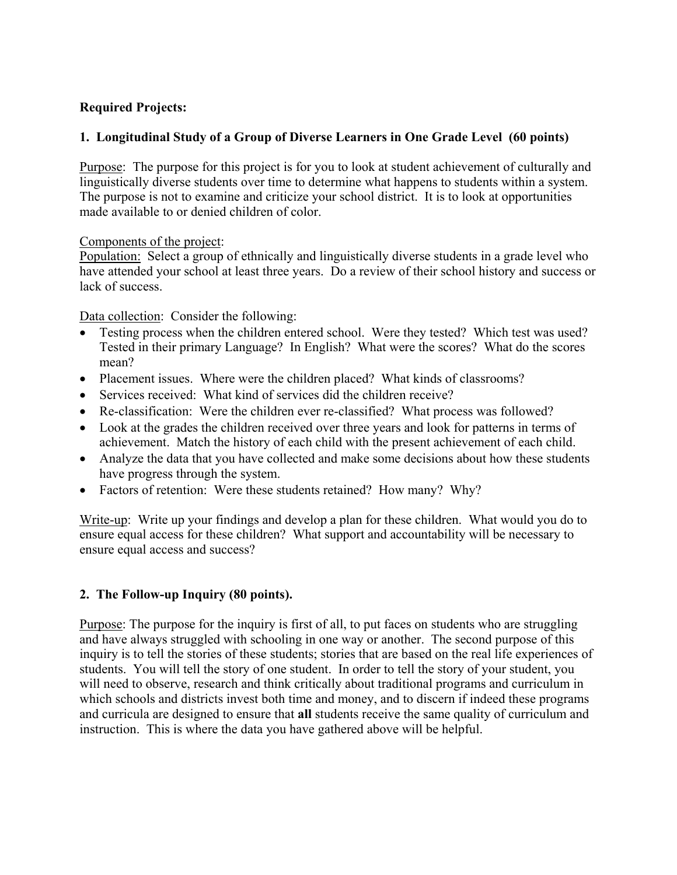## **Required Projects:**

# **1. Longitudinal Study of a Group of Diverse Learners in One Grade Level (60 points)**

Purpose: The purpose for this project is for you to look at student achievement of culturally and linguistically diverse students over time to determine what happens to students within a system. The purpose is not to examine and criticize your school district. It is to look at opportunities made available to or denied children of color.

### Components of the project:

Population: Select a group of ethnically and linguistically diverse students in a grade level who have attended your school at least three years. Do a review of their school history and success or lack of success.

Data collection: Consider the following:

- Testing process when the children entered school. Were they tested? Which test was used? Tested in their primary Language? In English? What were the scores? What do the scores mean?
- Placement issues. Where were the children placed? What kinds of classrooms?
- Services received: What kind of services did the children receive?
- Re-classification: Were the children ever re-classified? What process was followed?
- Look at the grades the children received over three years and look for patterns in terms of achievement. Match the history of each child with the present achievement of each child.
- Analyze the data that you have collected and make some decisions about how these students have progress through the system.
- Factors of retention: Were these students retained? How many? Why?

Write-up: Write up your findings and develop a plan for these children. What would you do to ensure equal access for these children? What support and accountability will be necessary to ensure equal access and success?

# **2. The Follow-up Inquiry (80 points).**

Purpose: The purpose for the inquiry is first of all, to put faces on students who are struggling and have always struggled with schooling in one way or another. The second purpose of this inquiry is to tell the stories of these students; stories that are based on the real life experiences of students. You will tell the story of one student. In order to tell the story of your student, you will need to observe, research and think critically about traditional programs and curriculum in which schools and districts invest both time and money, and to discern if indeed these programs and curricula are designed to ensure that **all** students receive the same quality of curriculum and instruction. This is where the data you have gathered above will be helpful.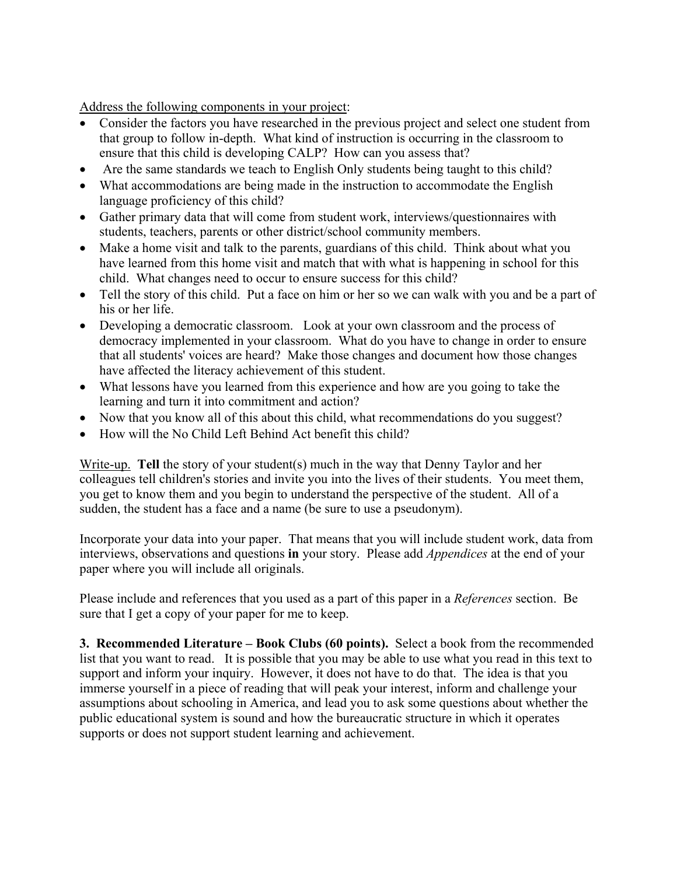Address the following components in your project:

- Consider the factors you have researched in the previous project and select one student from that group to follow in-depth. What kind of instruction is occurring in the classroom to ensure that this child is developing CALP? How can you assess that?
- Are the same standards we teach to English Only students being taught to this child?
- What accommodations are being made in the instruction to accommodate the English language proficiency of this child?
- Gather primary data that will come from student work, interviews/questionnaires with students, teachers, parents or other district/school community members.
- Make a home visit and talk to the parents, guardians of this child. Think about what you have learned from this home visit and match that with what is happening in school for this child. What changes need to occur to ensure success for this child?
- Tell the story of this child. Put a face on him or her so we can walk with you and be a part of his or her life.
- Developing a democratic classroom. Look at your own classroom and the process of democracy implemented in your classroom. What do you have to change in order to ensure that all students' voices are heard? Make those changes and document how those changes have affected the literacy achievement of this student.
- What lessons have you learned from this experience and how are you going to take the learning and turn it into commitment and action?
- Now that you know all of this about this child, what recommendations do you suggest?
- How will the No Child Left Behind Act benefit this child?

Write-up. **Tell** the story of your student(s) much in the way that Denny Taylor and her colleagues tell children's stories and invite you into the lives of their students. You meet them, you get to know them and you begin to understand the perspective of the student. All of a sudden, the student has a face and a name (be sure to use a pseudonym).

Incorporate your data into your paper. That means that you will include student work, data from interviews, observations and questions **in** your story. Please add *Appendices* at the end of your paper where you will include all originals.

Please include and references that you used as a part of this paper in a *References* section. Be sure that I get a copy of your paper for me to keep.

**3. Recommended Literature – Book Clubs (60 points).** Select a book from the recommended list that you want to read. It is possible that you may be able to use what you read in this text to support and inform your inquiry. However, it does not have to do that. The idea is that you immerse yourself in a piece of reading that will peak your interest, inform and challenge your assumptions about schooling in America, and lead you to ask some questions about whether the public educational system is sound and how the bureaucratic structure in which it operates supports or does not support student learning and achievement.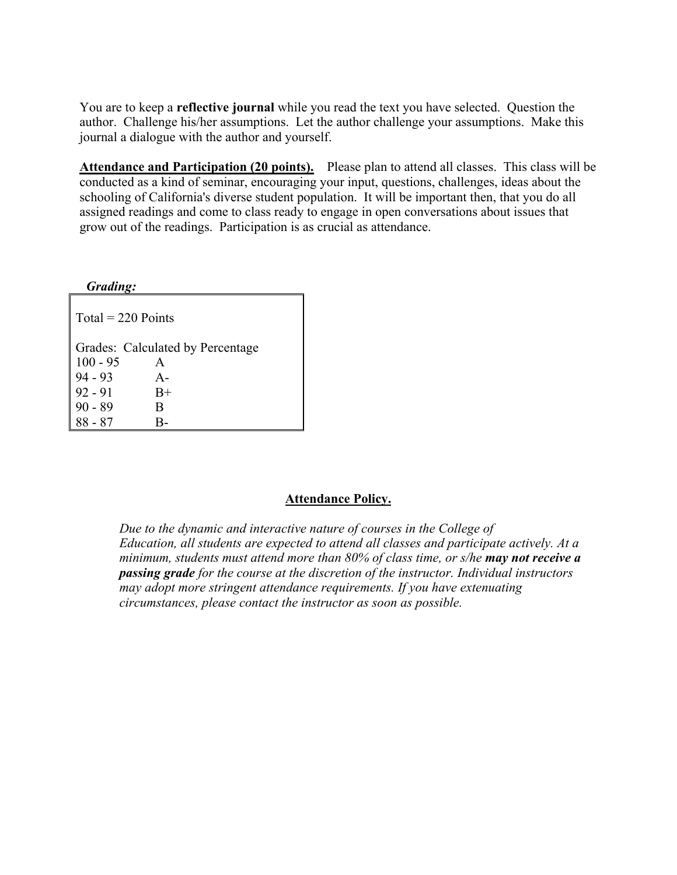You are to keep a **reflective journal** while you read the text you have selected. Question the author. Challenge his/her assumptions. Let the author challenge your assumptions. Make this journal a dialogue with the author and yourself.

**Attendance and Participation (20 points).** Please plan to attend all classes. This class will be conducted as a kind of seminar, encouraging your input, questions, challenges, ideas about the schooling of California's diverse student population. It will be important then, that you do all assigned readings and come to class ready to engage in open conversations about issues that grow out of the readings. Participation is as crucial as attendance.

 *Grading:* 

| $Total = 220$ Points             |       |  |  |  |
|----------------------------------|-------|--|--|--|
| Grades: Calculated by Percentage |       |  |  |  |
| $100 - 95$                       | A     |  |  |  |
| $94 - 93$                        | $A -$ |  |  |  |
| 92 - 91                          | $B+$  |  |  |  |
| $90 - 89$                        | B     |  |  |  |
| 88 - 87                          |       |  |  |  |

### **Attendance Policy.**

*Due to the dynamic and interactive nature of courses in the College of Education, all students are expected to attend all classes and participate actively. At a minimum, students must attend more than 80% of class time, or s/he may not receive a passing grade for the course at the discretion of the instructor. Individual instructors may adopt more stringent attendance requirements. If you have extenuating circumstances, please contact the instructor as soon as possible.*